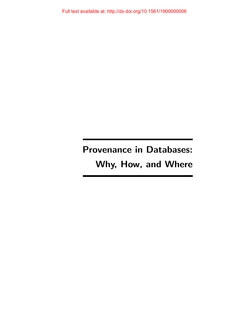Full text available at: http://dx.doi.org/10.1561/1900000006

Provenance in Databases: Why, How, and Where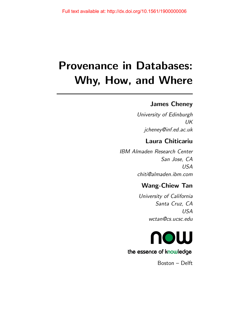# Provenance in Databases: Why, How, and Where

# James Cheney

University of Edinburgh UK jcheney@inf.ed.ac.uk

# Laura Chiticariu

IBM Almaden Research Center San Jose, CA USA chiti@almaden.ibm.com

# Wang-Chiew Tan

University of California Santa Cruz, CA USA wctan@cs.ucsc.edu



## the essence of knowledge

Boston – Delft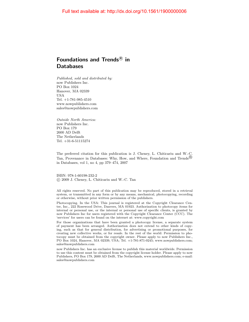### Foundations and Trends ${}^{\text{\textregistered}}$  in **Databases**

Published, sold and distributed by: now Publishers Inc. PO Box 1024 Hanover, MA 02339 USA Tel. +1-781-985-4510 www.nowpublishers.com sales@nowpublishers.com

Outside North America: now Publishers Inc. PO Box 179 2600 AD Delft The Netherlands Tel. +31-6-51115274

The preferred citation for this publication is J. Cheney, L. Chiticariu and W.-C. Tan, Provenance in Databases: Why, How, and Where, Foundation and Trends<sup>(B)</sup> in Databases, vol 1, no 4, pp 379–474, 2007

ISBN: 978-1-60198-232-2 c 2009 J. Cheney, L. Chiticariu and W.-C. Tan

All rights reserved. No part of this publication may be reproduced, stored in a retrieval system, or transmitted in any form or by any means, mechanical, photocopying, recording or otherwise, without prior written permission of the publishers.

Photocopying. In the USA: This journal is registered at the Copyright Clearance Center, Inc., 222 Rosewood Drive, Danvers, MA 01923. Authorization to photocopy items for internal or personal use, or the internal or personal use of specific clients, is granted by now Publishers Inc for users registered with the Copyright Clearance Center (CCC). The 'services' for users can be found on the internet at: www.copyright.com

For those organizations that have been granted a photocopy license, a separate system of payment has been arranged. Authorization does not extend to other kinds of copying, such as that for general distribution, for advertising or promotional purposes, for creating new collective works, or for resale. In the rest of the world: Permission to photocopy must be obtained from the copyright owner. Please apply to now Publishers Inc., PO Box 1024, Hanover, MA 02339, USA; Tel. +1-781-871-0245; www.nowpublishers.com; sales@nowpublishers.com

now Publishers Inc. has an exclusive license to publish this material worldwide. Permission to use this content must be obtained from the copyright license holder. Please apply to now Publishers, PO Box 179, 2600 AD Delft, The Netherlands, www.nowpublishers.com; e-mail: sales@nowpublishers.com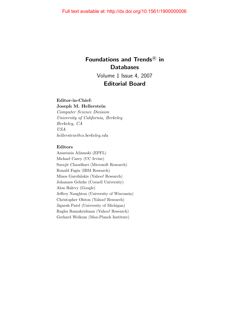# Foundations and Trends<sup>®</sup> in **Databases** Volume 1 Issue 4, 2007

# Editorial Board

### Editor-in-Chief:

Joseph M. Hellerstein Computer Science Division University of California, Berkeley Berkeley, CA USA hellerstein@cs.berkeley.edu

#### Editors

Anastasia Ailamaki (EPFL) Michael Carey (UC Irvine) Surajit Chaudhuri (Microsoft Research) Ronald Fagin (IBM Research) Minos Garofalakis (Yahoo! Research) Johannes Gehrke (Cornell University) Alon Halevy (Google) Jeffrey Naughton (University of Wisconsin) Christopher Olston (Yahoo! Research) Jignesh Patel (University of Michigan) Raghu Ramakrishnan (Yahoo! Research) Gerhard Weikum (Max-Planck Institute)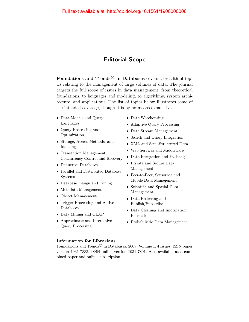### Editorial Scope

Foundations and Trends<sup>®</sup> in Databases covers a breadth of topics relating to the management of large volumes of data. The journal targets the full scope of issues in data management, from theoretical foundations, to languages and modeling, to algorithms, system architecture, and applications. The list of topics below illustrates some of the intended coverage, though it is by no means exhaustive:

- Data Models and Query Languages
- Query Processing and Optimization
- Storage, Access Methods, and Indexing
- Transaction Management, Concurrency Control and Recovery
- Deductive Databases
- Parallel and Distributed Database Systems
- Database Design and Tuning
- Metadata Management
- Object Management
- Trigger Processing and Active Databases
- Data Mining and OLAP
- Approximate and Interactive Query Processing
- Data Warehousing
- Adaptive Query Processing
- Data Stream Management
- Search and Query Integration
- XML and Semi-Structured Data
- Web Services and Middleware
- Data Integration and Exchange
- Private and Secure Data Management
- Peer-to-Peer, Sensornet and Mobile Data Management
- Scientific and Spatial Data Management
- Data Brokering and Publish/Subscribe
- Data Cleaning and Information Extraction
- Probabilistic Data Management

#### Information for Librarians

Foundations and Trends<sup>®</sup> in Databases, 2007, Volume 1, 4 issues. ISSN paper version 1931-7883. ISSN online version 1931-7891. Also available as a combined paper and online subscription.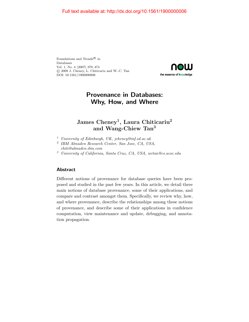#### Full text available at: http://dx.doi.org/10.1561/1900000006

Foundations and  $\operatorname{Trends}^{\textcircledR}$  in Databases Vol. 1, No. 4 (2007) 379–474 c 2009 J. Cheney, L. Chiticariu and W.-C. Tan DOI: 10.1561/1900000006



# Provenance in Databases: Why, How, and Where

### ${\rm James} \,\,{\rm Cheney}^1,$  Laura  ${\rm Chiticariu}^2$ and Wang-Chiew Tan<sup>3</sup>

- <sup>1</sup> University of Edinburgh, UK, jcheney@inf.ed.ac.uk
- 2 IBM Almaden Research Center, San Jose, CA, USA, chiti@almaden.ibm.com
- <sup>3</sup> University of California, Santa Cruz, CA, USA, wctan@cs.ucsc.edu

#### Abstract

Different notions of provenance for database queries have been proposed and studied in the past few years. In this article, we detail three main notions of database provenance, some of their applications, and compare and contrast amongst them. Specifically, we review why, how, and where provenance, describe the relationships among these notions of provenance, and describe some of their applications in confidence computation, view maintenance and update, debugging, and annotation propagation.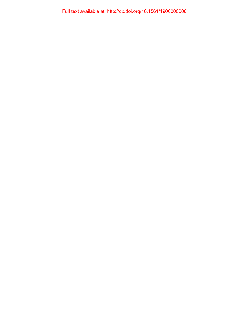Full text available at: http://dx.doi.org/10.1561/1900000006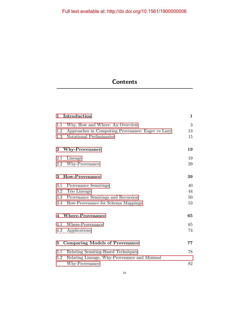# **Contents**

| $\mathbf{1}$            | Introduction                                                                       | $\mathbf{1}$ |
|-------------------------|------------------------------------------------------------------------------------|--------------|
| 1.1                     | Why, How and Where: An Overview                                                    | 3            |
| 1.2                     | Approaches in Computing Provenance: Eager vs Lazy                                  | 13           |
| 1.3                     | Notational Preliminaries                                                           | 15           |
| $\bf{2}$                | <b>Why-Provenance</b>                                                              | 19           |
| 2.1                     | Lineage                                                                            | 19           |
| $2.2\,$                 | Why-Provenance                                                                     | 29           |
| 3                       | <b>How-Provenance</b>                                                              | 39           |
| $3.1\,$                 | Provenance Semirings                                                               | 40           |
| $3.2\,$                 | Trio Lineage                                                                       | 44           |
| $3.3\,$                 | Provenance Semirings and Recursion                                                 | 50           |
| 3.4                     | How-Provenance for Schema Mappings                                                 | 53           |
| $\overline{\mathbf{4}}$ | <b>Where-Provenance</b>                                                            | 65           |
| 4.1                     | Where-Provenance                                                                   | 65           |
| 4.2                     | Applications                                                                       | 74           |
| 5                       | <b>Comparing Models of Provenance</b>                                              | 77           |
| 5.1<br>5.2              | Relating Semiring-Based Techniques<br>Relating Lineage, Why-Provenance and Minimal | 78           |
|                         | Why-Provenance                                                                     | 82           |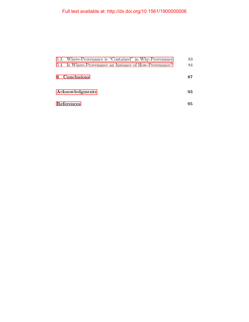# Full text available at: http://dx.doi.org/10.1561/1900000006

| 5.3 Where-Provenance is "Contained" in Why-Provenance  | 83 |
|--------------------------------------------------------|----|
| 5.4 Is Where-Provenance an Instance of How-Provenance? | 84 |
| 6 Conclusions                                          | 87 |
| Acknowledgments                                        | 93 |
| References                                             | 95 |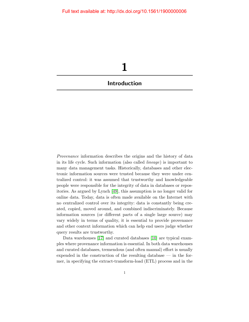<span id="page-9-0"></span>

Provenance information describes the origins and the history of data in its life cycle. Such information (also called lineage) is important to many data management tasks. Historically, databases and other electronic information sources were trusted because they were under centralized control: it was assumed that trustworthy and knowledgeable people were responsible for the integrity of data in databases or repositories. As argued by Lynch [\[49\]](#page-29-0), this assumption is no longer valid for online data. Today, data is often made available on the Internet with no centralized control over its integrity: data is constantly being created, copied, moved around, and combined indiscriminately. Because information sources (or different parts of a single large source) may vary widely in terms of quality, it is essential to provide provenance and other context information which can help end users judge whether query results are trustworthy.

Data warehouses [\[17\]](#page-27-0) and curated databases [\[10\]](#page-27-1) are typical examples where provenance information is essential. In both data warehouses and curated databases, tremendous (and often manual) effort is usually expended in the construction of the resulting database — in the former, in specifying the extract-transform-load (ETL) process and in the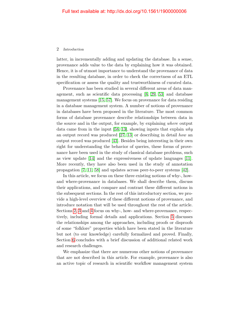latter, in incrementally adding and updating the database. In a sense, provenance adds value to the data by explaining how it was obtained. Hence, it is of utmost importance to understand the provenance of data in the resulting database, in order to check the correctness of an ETL specification or assess the quality and trustworthiness of curated data.

Provenance has been studied in several different areas of data management, such as scientific data processing [\[8,](#page-26-1) [29,](#page-28-0) [53\]](#page-29-1) and database management systems [\[15,](#page-27-2) [57\]](#page-29-2). We focus on provenance for data residing in a database management system. A number of notions of provenance in databases have been proposed in the literature. The most common forms of database provenance describe relationships between data in the source and in the output, for example, by explaining where output data came from in the input  $[58, 13]$  $[58, 13]$ , showing inputs that explain why an output record was produced [\[27,](#page-28-1) [13\]](#page-27-3) or describing in detail how an output record was produced [\[43\]](#page-29-3). Besides being interesting in their own right for understanding the behavior of queries, these forms of provenance have been used in the study of classical database problems, such as view update [\[14\]](#page-27-4) and the expressiveness of update languages [\[11\]](#page-27-5). More recently, they have also been used in the study of annotation propagation [\[7,](#page-26-2) [11,](#page-27-5) [58\]](#page-30-0) and updates across peer-to-peer systems [\[42\]](#page-29-4).

In this article, we focus on these three existing notions of why-, howand where-provenance in databases. We shall describe them, discuss their applications, and compare and contrast these different notions in the subsequent sections. In the rest of this introductory section, we provide a high-level overview of these different notions of provenance, and introduce notation that will be used throughout the rest of the article. Sections [2, 3](#page--1-0) and [4](#page--1-0) focus on why-, how- and where-provenance, respectively, including formal details and applications. Section [5](#page--1-0) discusses the relationships among the approaches, including proofs or disproofs of some "folklore" properties which have been stated in the literature but not (to our knowledge) carefully formalized and proved. Finally, Section [6](#page--1-0) concludes with a brief discussion of additional related work and research challenges.

We emphasize that there are numerous other notions of provenance that are not described in this article. For example, provenance is also an active topic of research in scientific workflow management system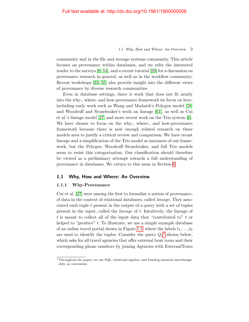#### 1.1 Why, How and Where: An Overview 3

community and in the file and storage systems community. This article focuses on provenance within databases, and we refer the interested reader to the surveys [\[8,](#page-26-1) [53\]](#page-29-1), and a recent tutorial [\[29\]](#page-28-0) for a discussion on provenance research in general, as well as in the workflow community. Recent workshops [\[33,](#page-28-2) [35\]](#page-28-3) also provide insight into the different views of provenance by diverse research communities.

Even in database settings, there is work that does not fit neatly into the why-, where- and how-provenance framework we focus on here, including early work such as Wang and Madnick's Polygen model [\[58\]](#page-30-0) and Woodruff and Stonebraker's work on lineage [\[61\]](#page-30-1), as well as Cui et al.'s lineage model [\[27\]](#page-28-1) and more recent work on the Trio system [\[6\]](#page-26-3). We have chosen to focus on the why-, where-, and how-provenance framework because there is now enough related research on these models area to justify a critical review and comparison. We have recast lineage and a simplification of the Trio model as instances of our framework, but the Polygen, Woodruff–Stonebraker, and full Trio models seem to resist this categorization. Our classification should therefore be viewed as a preliminary attempt towards a full understanding of provenance in databases. We return to this issue in Section [6.](#page--1-0)

#### <span id="page-11-0"></span>1.1 Why, How and Where: An Overview

#### 1.1.1 Why-Provenance

Cui et al. [\[27\]](#page-28-1) were among the first to formalize a notion of provenance, of data in the context of relational databases, called lineage. They associated each tuple  $t$  present in the output of a query with a set of tuples present in the input, called the lineage of t. Intuitively, the lineage of t is meant to collect all of the input data that "contributed to" t or helped to "produce"  $t$ . To illustrate, we use a simple example database of an online travel portal shown in Figure [1.1,](#page-12-0) where the labels  $t_1, \ldots, t_8$ are used to identify the tuples. Consider the query  $Q_1^1$  $Q_1^1$  $Q_1^1$  shown below, which asks for all travel agencies that offer external boat tours and their corresponding phone numbers by joining Agencies with ExternalTours

<span id="page-11-1"></span><sup>&</sup>lt;sup>1</sup> Throughout the paper, we use SQL, relational algebra, and Datalog notation interchangeably, as convenient.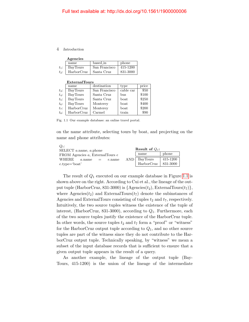|         | Agencies   |               |          |
|---------|------------|---------------|----------|
|         | name       | based_in      | phone    |
| $t_1$ : | BayTours   | San Francisco | 415-1200 |
| $t_2$ : | HarborCruz | Santa Cruz    | 831-3000 |

|           | <b>ExternalTours</b> |               |           |       |  |  |  |  |  |  |
|-----------|----------------------|---------------|-----------|-------|--|--|--|--|--|--|
|           | name                 | destination   | type      | price |  |  |  |  |  |  |
| $t_3$ :   | BayTours             | San Francisco | cable car | \$50  |  |  |  |  |  |  |
| $t_4$ :   | <b>BayTours</b>      | Santa Cruz    | bus       | \$100 |  |  |  |  |  |  |
| $t_{5}$ : | BayTours             | Santa Cruz    | boat      | \$250 |  |  |  |  |  |  |
| $t_6$ :   | <b>BayTours</b>      | Monterey      | boat      | \$400 |  |  |  |  |  |  |
| $t_7$ :   | HarborCruz           | Monterey      | boat      | \$200 |  |  |  |  |  |  |
| $t_8$ :   | HarborCruz           | Carmel        | train     | \$90  |  |  |  |  |  |  |

<span id="page-12-0"></span>Fig. 1.1 Our example database: an online travel portal.

on the name attribute, selecting tours by boat, and projecting on the name and phone attributes:

| $Q_1$ :<br>SELECT a.name, a.phone    | Result of $Q_1$ :       |          |
|--------------------------------------|-------------------------|----------|
| FROM Agencies a, ExternalTours e     | name                    | phone    |
| WHERE<br>$a.\text{name} =$<br>e.name | $AND \mid BayTours$     | 415-1200 |
| $e.\text{type} = \text{boat}'$       | $HarborCruz$   831-3000 |          |

The result of  $Q_1$  executed on our example database in Figure [1.1](#page-12-0) is shown above on the right. According to Cui et al., the lineage of the output tuple (HarborCruz, 831-3000) is  $\{ \text{Agencies}(t_2), \text{ExternalTours}(t_7) \},$ where Agencies $(t_2)$  and ExternalTours $(t_7)$  denote the subinstances of Agencies and ExternalTours consisting of tuples  $t_2$  and  $t_7$ , respectively. Intuitively, the two source tuples witness the existence of the tuple of interest, (HarborCruz, 831-3000), according to  $Q_1$ . Furthermore, each of the two source tuples justify the existence of the HarborCruz tuple. In other words, the source tuples  $t_2$  and  $t_7$  form a "proof" or "witness" for the HarborCruz output tuple according to  $Q_1$ , and no other source tuples are part of the witness since they do not contribute to the HarborCruz output tuple. Technically speaking, by "witness" we mean a subset of the input database records that is sufficient to ensure that a given output tuple appears in the result of a query.

As another example, the lineage of the output tuple (Bay-Tours, 415-1200) is the union of the lineage of the intermediate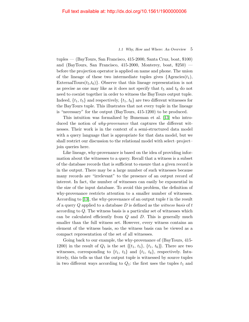#### 1.1 Why, How and Where: An Overview 5

tuples — (BayTours, San Francisco, 415-2000, Santa Cruz, boat, \$100) and (BayTours, San Francisco, 415-2000, Monterey, boat, \$250) before the projection operator is applied on name and phone. The union of the lineage of these two intermediate tuples gives  $\{Agencies(t_1),\}$ ExternalTours $(t_5,t_6)$ . Observe that this lineage representation is not as precise as one may like as it does not specify that  $t_5$  and  $t_6$  do not need to coexist together in order to witness the BayTours output tuple. Indeed,  $\{t_1, t_5\}$  and respectively,  $\{t_1, t_6\}$  are two different witnesses for the BayTours tuple. This illustrates that not every tuple in the lineage is "necessary" for the output (BayTours, 415-1200) to be produced.

This intuition was formalized by Buneman et al. [\[13\]](#page-27-3) who introduced the notion of *why-provenance* that captures the different witnesses. Their work is in the context of a semi-structured data model with a query language that is appropriate for that data model, but we shall restrict our discussion to the relational model with select–project– join queries here.

Like lineage, why-provenance is based on the idea of providing information about the witnesses to a query. Recall that a witness is a subset of the database records that is sufficient to ensure that a given record is in the output. There may be a large number of such witnesses because many records are "irrelevant" to the presence of an output record of interest. In fact, the number of witnesses can easily be exponential in the size of the input database. To avoid this problem, the definition of why-provenance restricts attention to a smaller number of witnesses. According to  $[13]$ , the why-provenance of an output tuple t in the result of a query  $Q$  applied to a database  $D$  is defined as the witness basis of t according to Q. The witness basis is a particular set of witnesses which can be calculated efficiently from  $Q$  and  $D$ . This is generally much smaller than the full witness set. However, every witness contains an element of the witness basis, so the witness basis can be viewed as a compact representation of the set of all witnesses.

Going back to our example, the why-provenance of (BayTours, 415- 1200) in the result of  $Q_1$  is the set  $\{\{t_1, t_5\}, \{t_1, t_6\}\}\.$  There are two witnesses, corresponding to  $\{t_1, t_5\}$  and  $\{t_1, t_6\}$ , respectively. Intuitively, this tells us that the output tuple is witnessed by source tuples in two different ways according to  $Q_1$ : the first uses the tuples  $t_1$  and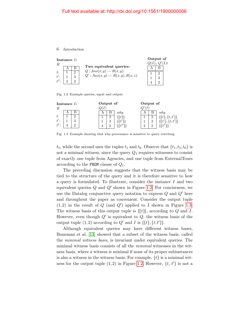

<span id="page-14-0"></span>Fig. 1.2 Example queries, input and output.

| R                                               | Instance $I$ : |                    | Output of |                     |     | Output of |                    |                     |
|-------------------------------------------------|----------------|--------------------|-----------|---------------------|-----|-----------|--------------------|---------------------|
| $t$ :<br>$t^{\prime}$ :<br>$t^{\prime\prime}$ : |                | ച<br>ω<br>$\Omega$ | Α         | $\Omega$<br>IJ<br>ച | why | Α         | ച<br>3<br>$\Omega$ | why<br>$\{t,t'\}\}$ |

<span id="page-14-1"></span>Fig. 1.3 Example showing that why-provenance is sensitive to query rewriting.

 $t_5$ , while the second uses the tuples  $t_1$  and  $t_6$ . Observe that  $\{t_1, t_5, t_6\}$  is not a minimal witness, since the query  $Q_1$  requires witnesses to consist of exactly one tuple from Agencies, and one tuple from ExternalTours according to the FROM clause of  $Q_1$ .

The preceding discussion suggests that the witness basis may be tied to the structure of the query and it is therefore sensitive to how a query is formulated. To illustrate, consider the instance I and two equivalent queries  $Q$  and  $Q'$  shown in Figure [1.2.](#page-14-0) For conciseness, we use the Datalog conjunctive query notation to express  $Q$  and  $Q'$  here and throughout the paper as convenient. Consider the output tuple  $(1,2)$  in the result of Q (and Q') applied to I shown in Figure [1.3.](#page-14-1) The witness basis of this output tuple is  $\{\{t\}\}\,$ , according to Q and I. However, even though  $Q'$  is equivalent to  $Q$ , the witness basis of the output tuple  $(1,2)$  according to  $Q'$  and I is  $\{\{t\},\{t,t'\}\}.$ 

Although equivalent queries may have different witness bases, Buneman et al. [\[13\]](#page-27-3) showed that a subset of the witness basis, called the minimal witness basis, is invariant under equivalent queries. The minimal witness basis consists of all the minimal witnesses in the witness basis, where a witness is minimal if none of its proper subinstances is also a witness in the witness basis. For example,  $\{t\}$  is a minimal witness for the output tuple  $(1,2)$  in Figure [1.2.](#page-14-0) However,  $\{t, t'\}$  is not a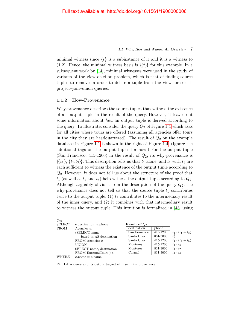1.1 Why, How and Where: An Overview 7

minimal witness since  $\{t\}$  is a subinstance of it and it is a witness to  $(1,2)$ . Hence, the minimal witness basis is  $\{\{t\}\}\$ for this example. In a subsequent work by [\[14\]](#page-27-4), minimal witnesses were used in the study of variants of the view deletion problem, which is that of finding source tuples to remove in order to delete a tuple from the view for selectproject–join–union queries.

#### 1.1.2 How-Provenance

Why-provenance describes the source tuples that witness the existence of an output tuple in the result of the query. However, it leaves out some information about how an output tuple is derived according to the query. To illustrate, consider the query  $Q_2$  of Figure [1.4](#page-15-0) which asks for all cities where tours are offered (assuming all agencies offer tours in the city they are headquartered). The result of  $Q_2$  on the example database in Figure [1.1](#page-12-0) is shown in the right of Figure [1.4.](#page-15-0) (Ignore the additional tags on the output tuples for now.) For the output tuple (San Francisco, 415-1200) in the result of  $Q_2$ , its why-provenance is  $\{\{t_1\}, \{t_1,t_3\}\}\.$  This description tells us that  $t_1$  alone, and  $t_1$  with  $t_3$  are each sufficient to witness the existence of the output tuple according to  $Q_2$ . However, it does not tell us about the structure of the proof that  $t_1$  (as well as  $t_1$  and  $t_3$ ) help witness the output tuple according to  $Q_2$ . Although arguably obvious from the description of the query  $Q_2$ , the why-provenance does not tell us that the source tuple  $t_1$  contributes twice to the output tuple: (1)  $t_1$  contributes to the intermediary result of the inner query, and (2) it combines with that intermediary result to witness the output tuple. This intuition is formalized in [\[43\]](#page-29-3) using

| $Q_2$ :       |                                 |                          |          |                         |
|---------------|---------------------------------|--------------------------|----------|-------------------------|
| <b>SELECT</b> | e.destination, a.phone          | <b>Result of</b> $Q_2$ : |          |                         |
| <b>FROM</b>   | Agencies $a$ ,                  | destination              | phone    |                         |
|               | (SELECT name,                   | San Francisco            | 415-1200 | $t_1 \cdot (t_1 + t_3)$ |
|               | based in AS destination         | Santa Cruz               | 831-3000 | $t_2^2$                 |
|               | FROM Agencies a                 | Santa Cruz               | 415-1200 | $t_1 \cdot (t_4 + t_5)$ |
|               | UNION                           | Monterey                 | 415-1200 | $t_1 \cdot t_6$         |
|               | SELECT name, destination        | Monterey                 | 831-3000 | $t_1 \cdot t_7$         |
|               | FROM ExternalTours ) e          | Carmel                   | 831-3000 | $t_1 \cdot t_8$         |
| WHERE         | $a.\text{name} = e.\text{name}$ |                          |          |                         |

<span id="page-15-0"></span>Fig. 1.4 A query and its output tagged with semiring provenance.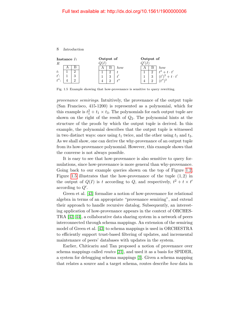

<span id="page-16-0"></span>Fig. 1.5 Example showing that how-provenance is sensitive to query rewriting.

provenance semirings. Intuitively, the provenance of the output tuple (San Francisco, 415-1200) is represented as a polynomial, which for this example is  $t_1^2 + t_1 \times t_3$ . The polynomials for each output tuple are shown on the right of the result of  $Q_2$ . The polynomial hints at the structure of the proofs by which the output tuple is derived. In this example, the polynomial describes that the output tuple is witnessed in two distinct ways: once using  $t_1$  twice, and the other using  $t_1$  and  $t_3$ . As we shall show, one can derive the why-provenance of an output tuple from its how-provenance polynomial. However, this example shows that the converse is not always possible.

It is easy to see that how-provenance is also sensitive to query formulations, since how-provenance is more general than why-provenance. Going back to our example queries shown on the top of Figure [1.2,](#page-14-0) Figure [1.5](#page-16-0) illustrates that the how-provenance of the tuple  $(1,2)$  in the output of  $Q(I)$  is t according to Q, and respectively,  $t^2 + t \times t'$ according to  $Q'$ .

Green et al. [\[43\]](#page-29-3) formalize a notion of how-provenance for relational algebra in terms of an appropriate "provenance semiring", and extend their approach to handle recursive datalog. Subsequently, an interesting application of how-provenance appears in the context of ORCHES-TRA [\[42,](#page-29-4) [44\]](#page-29-5), a collaborative data sharing system in a network of peers interconnected through schema mappings. An extension of the semiring model of Green et al. [\[43\]](#page-29-3) to schema mappings is used in ORCHESTRA to efficiently support trust-based filtering of updates, and incremental maintenance of peers' databases with updates in the system.

Earlier, Chiticariu and Tan proposed a notion of provenance over schema mappings called routes [\[21\]](#page-27-6), and used it as a basis for SPIDER, a system for debugging schema mappings [\[3\]](#page-26-4). Given a schema mapping that relates a source and a target schema, routes describe how data in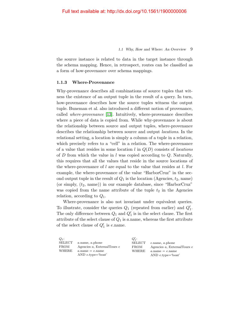1.1 Why, How and Where: An Overview 9

the source instance is related to data in the target instance through the schema mapping. Hence, in retrospect, routes can be classified as a form of how-provenance over schema mappings.

#### 1.1.3 Where-Provenance

Why-provenance describes all combinations of source tuples that witness the existence of an output tuple in the result of a query. In turn, how-provenance describes how the source tuples witness the output tuple. Buneman et al. also introduced a different notion of provenance, called where-provenance [\[13\]](#page-27-3). Intuitively, where-provenance describes where a piece of data is copied from. While why-provenance is about the relationship between source and output tuples, where-provenance describes the relationship between source and output locations. In the relational setting, a location is simply a column of a tuple in a relation, which precisely refers to a "cell" in a relation. The where-provenance of a value that resides in some location  $l$  in  $Q(D)$  consists of *locations* of D from which the value in l was copied according to  $Q$ . Naturally, this requires that all the values that reside in the source locations of the where-provenance of l are equal to the value that resides at l. For example, the where-provenance of the value "HarborCruz" in the second output tuple in the result of  $Q_1$  is the location (Agencies,  $t_2$ , name) (or simply,  $(t_2, \text{name})$ ) in our example database, since "HarborCruz" was copied from the name attribute of the tuple  $t_2$  in the Agencies relation, according to  $Q_1$ .

Where-provenance is also not invariant under equivalent queries. To illustrate, consider the queries  $Q_1$  (repeated from earlier) and  $Q'_1$ . The only difference between  $Q_1$  and  $Q'_1$  is in the select clause. The first attribute of the select clause of  $Q_1$  is a name, whereas the first attribute of the select clause of  $Q'_1$  is e.name.

| $Q_1$ : |                                   | $Q'_1$ :     |                                    |
|---------|-----------------------------------|--------------|------------------------------------|
| SELECT  | a.name, a.phone                   | SELECT       | $e$ .name, $a$ .phone              |
| FROM    | Agencies a, ExternalTours e       | FROM         | Agencies a, ExternalTours e        |
| WHERE   | $a.\text{name} = e.\text{name}$   | <b>WHERE</b> | $a.\text{name} = e.\text{name}$    |
|         | AND $e.\text{type} = \text{boat}$ |              | AND $e.\text{type} = \text{boat}'$ |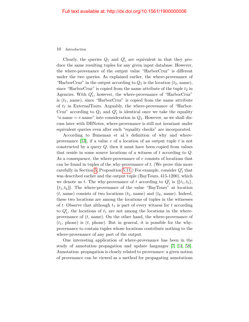Clearly, the queries  $Q_1$  and  $Q'_1$  are equivalent in that they produce the same resulting tuples for any given input database. However, the where-provenance of the output value "HarborCruz" is different under the two queries. As explained earlier, the where-provenance of "HarborCruz" in the output according to  $Q_1$  is the location  $(t_2, \text{name}),$ since "HarborCruz" is copied from the name attribute of the tuple  $t_2$  in Agencies. With  $Q'_1$ , however, the where-provenance of "HarborCruz" is  $(t_7, \text{ name}),$  since "HarborCruz" is copied from the name attribute of  $t_7$  in ExternalTours. Arguably, the where-provenance of "Harbor-Cruz" according to  $Q_1$  and  $Q'_1$  is identical once we take the equality "a.name = e.name" into consideration in  $Q_1$ . However, as we shall discuss later with DBNotes, where-provenance is still not invariant under equivalent queries even after such "equality checks" are incorporated.

According to Buneman et al.'s definition of why and where-provenance [\[13\]](#page-27-3), if a value v of a location of an output tuple t is not constructed by a query  $Q$ , then it must have been copied from values that reside in some source locations of a witness of  $t$  according to  $Q$ . As a consequence, the where-provenance of  $v$  consists of locations that can be found in tuples of the why-provenance of t. (We prove this more carefully in Section [5,](#page--1-0) Proposition [5.11.](#page--1-13)) For example, consider  $Q'_1$  that was described earlier and the output tuple (BayTours, 415-1200), which we denote as t. The why-provenance of t according to  $Q'_1$  is  $\{\{t_1, t_5\},\}$  $\{t_1, t_6\}$ . The where-provenance of the value "BayTours" at location  $(t, \text{name})$  consists of two locations  $(t_5, \text{name})$  and  $(t_6, \text{name})$ . Indeed, these two locations are among the locations of tuples in the witnesses of t. Observe that although  $t_1$  is part of every witness for t according to  $Q'_1$ , the locations of  $t_1$  are not among the locations in the whereprovenance of  $(t, \text{name})$ . On the other hand, the where-provenance of  $(t_1, \text{ phone})$  is  $(t, \text{ phone})$ . But in general, it is possible for the whyprovenance to contain tuples whose locations contribute nothing to the where-provenance of any part of the output.

One interesting application of where-provenance has been in the study of annotation–propagation and update languages [\[7,](#page-26-2) [14,](#page-27-4) [58\]](#page-30-0). Annotation–propagation is closely related to provenance: a given notion of provenance can be viewed as a method for propagating annotations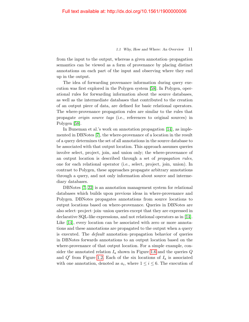#### 1.1 Why, How and Where: An Overview 11

from the input to the output, whereas a given annotation–propagation semantics can be viewed as a form of provenance by placing distinct annotations on each part of the input and observing where they end up in the output.

The idea of forwarding provenance information during query execution was first explored in the Polygen system [\[58\]](#page-30-0). In Polygen, operational rules for forwarding information about the source databases, as well as the intermediate databases that contributed to the creation of an output piece of data, are defined for basic relational operators. The where-provenance propagation rules are similar to the rules that propagate origin source tags (i.e., references to original sources) in Polygen [\[58\]](#page-30-0).

In Buneman et al.'s work on annotation propagation [\[14\]](#page-27-4), as implemented in DBNotes [\[7\]](#page-26-2), the where-provenance of a location in the result of a query determines the set of all annotations in the source database to be associated with that output location. This approach assumes queries involve select, project, join, and union only; the where-provenance of an output location is described through a set of propagation rules, one for each relational operator (i.e., select, project, join, union). In contrast to Polygen, these approaches propagate arbitrary annotations through a query, and not only information about source and intermediary databases.

DBNotes [\[7,](#page-26-2) [22\]](#page-27-7) is an annotation management system for relational databases which builds upon previous ideas in where-provenance and Polygen. DBNotes propagates annotations from source locations to output locations based on where-provenance. Queries in DBNotes are also select–project–join–union queries except that they are expressed in declarative SQL-like expressions, and not relational operators as in [\[14\]](#page-27-4). Like [\[14\]](#page-27-4), every location can be associated with zero or more annotations and these annotations are propagated to the output when a query is executed. The default annotation–propagation behavior of queries in DBNotes forwards annotations to an output location based on the where-provenance of that output location. For a simple example, consider the annotated relation  $I_a$  shown in Figure [1.6](#page-20-0) and the queries  $Q$ and  $Q'$  from Figure [1.2.](#page-14-0) Each of the six locations of  $I_a$  is associated with one annotation, denoted as  $a_i$ , where  $1 \leq i \leq 6$ . The execution of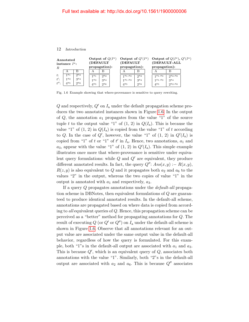| Annotated<br>instance $I^a$ : |                     | Output of $Q(I^a)$<br><b>DEFAULT</b> |                         | Output of $Q'(I^a)$<br>(DEFAULT |  | Output of $Q(I^a)$ , $Q'(I^a)$<br>(DEFAULT-ALL |           |                |                |  |
|-------------------------------|---------------------|--------------------------------------|-------------------------|---------------------------------|--|------------------------------------------------|-----------|----------------|----------------|--|
| R                             |                     |                                      |                         | propagation):                   |  | propagation):                                  |           | propagation):  |                |  |
|                               | А                   |                                      | $\overline{\mathsf{A}}$ |                                 |  |                                                |           |                |                |  |
| $t$ :                         | 1 <sup>a</sup> 1    | $2^{a_2}$                            | $1a_1$                  | $2^{a_2}$                       |  | $1^{a_1, a_3}$                                 | $2^{a_2}$ | $1^{a_1, a_3}$ | $2^{a_2, a_6}$ |  |
| $t$ :                         | $1a_3$              | $3^{a_4}$                            | 1 <sub>a3</sub>         | $3^{a_4}$                       |  | $1^{a_1, a_3}$                                 | $3^{a_4}$ | $1^{a_1, a_3}$ | $3^{a_4}$      |  |
| $t^{\prime\prime}$ :          | $4^{\mathfrak{a}}5$ | $2^{\alpha}6$                        | $4^{a_5}$               | $2^{a_6}$                       |  | $4^{a_5}$                                      | $2^{a_6}$ | $4^{a_5}$      | $2^{a_2, a_6}$ |  |

<span id="page-20-0"></span>Fig. 1.6 Example showing that where-provenance is sensitive to query rewriting.

 $Q$  and respectively,  $Q'$  on  $I_a$  under the default propagation scheme produces the two annotated instances shown in Figure [1.6.](#page-20-0) In the output of  $Q$ , the annotation  $a_1$  propagates from the value "1" of the source tuple t to the output value "1" of  $(1, 2)$  in  $Q(I_3)$ . This is because the value "1" of  $(1, 2)$  in  $Q(I_a)$  is copied from the value "1" of t according to Q. In the case of  $Q'$ , however, the value "1" of  $(1, 2)$  in  $Q'(I_{\rm a})$  is copied from "1" of t or "1" of t' in  $I_a$ . Hence, two annotations,  $a_1$  and  $a_3$ , appear with the value "1" of  $(1, 2)$  in  $Q'(I_a)$ . This simple example illustrates once more that where-provenance is sensitive under equivalent query formulations: while  $Q$  and  $Q'$  are equivalent, they produce different annotated results. In fact, the query  $Q''$ :  $Ans(x,y) := R(x,y)$ ,  $R(z, y)$  is also equivalent to Q and it propagates both  $a_2$  and  $a_6$  to the values "2" in the output, whereas the two copies of value "1" in the output is annotated with  $a_1$  and respectively,  $a_3$ .

If a query Q propagates annotations under the default-all propagation scheme in DBNotes, then equivalent formulations of Q are guaranteed to produce identical annotated results. In the default-all scheme, annotations are propagated based on where data is copied from according to all equivalent queries of Q. Hence, this propagation scheme can be perceived as a "better" method for propagating annotations for Q. The result of executing Q (or  $Q'$  or  $Q''$ ) on  $I_a$  under the default-all scheme is shown in Figure [1.6.](#page-20-0) Observe that all annotations relevant for an output value are associated under the same output value in the default-all behavior, regardless of how the query is formulated. For this example, both "1"s in the default-all output are associated with  $a_1$  and  $a_3$ . This is because  $Q'$ , which is an equivalent query of  $Q$ , associates both annotations with the value "1". Similarly, both "2"s in the default-all output are associated with  $a_2$  and  $a_6$ . This is because  $Q''$  associates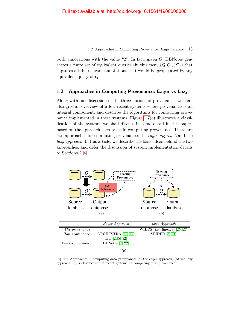1.2 Approaches in Computing Provenance: Eager vs Lazy 13

both annotations with the value "2". In fact, given  $Q$ , DBNotes generates a finite set of equivalent queries (in this case,  $\{Q, Q', Q''\}$ ) that captures all the relevant annotations that would be propagated by any equivalent query of Q.

#### <span id="page-21-0"></span>1.2 Approaches in Computing Provenance: Eager vs Lazy

Along with our discussion of the three notions of provenance, we shall also give an overview of a few recent systems where provenance is an integral component, and describe the algorithms for computing provenance implemented in these systems. Figure [1.7\(](#page-21-1)c) illustrates a classification of the systems we shall discuss in some detail in this paper, based on the approach each takes in computing provenance. There are two approaches for computing provenance: the eager approach and the lazy approach. In this article, we describe the basic ideas behind the two approaches, and defer the discussion of system implementation details to Sections [2–4.](#page--1-0)



|                  | Eager Approach     | Lazy Approach                    |
|------------------|--------------------|----------------------------------|
| Why-provenance   |                    | WHIPS (i.e., lineage) $[25, 27]$ |
| How-provenance   | ORCHESTRA [42, 44] | SPIDER $[3, 21]$                 |
|                  | Trio $[2, 5, 52]$  |                                  |
| Where-provenance | DBNotes $[7, 22]$  |                                  |

(c)

<span id="page-21-1"></span>Fig. 1.7 Approaches in computing data provenance: (a) the eager approach; (b) the lazy approach. (c) A classification of recent systems for computing data provenance.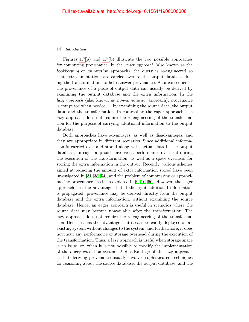Figures  $1.7(a)$  and  $1.7(b)$  illustrate the two possible approaches for computing provenance. In the eager approach (also known as the bookkeeping or annotation approach), the query is re-engineered so that extra annotations are carried over to the output database during the transformation, to help answer provenance. As a consequence, the provenance of a piece of output data can usually be derived by examining the output database and the extra information. In the lazy approach (also known as non-annotation approach), provenance is computed when needed — by examining the source data, the output data, and the transformation. In contrast to the eager approach, the lazy approach does not require the re-engineering of the transformation for the purpose of carrying additional information to the output database.

Both approaches have advantages, as well as disadvantages, and they are appropriate in different scenarios. Since additional information is carried over and stored along with actual data in the output database, an eager approach involves a performance overhead during the execution of the transformation, as well as a space overhead for storing the extra information in the output. Recently, various schemes aimed at reducing the amount of extra information stored have been investigated in [\[31,](#page-28-5) [38,](#page-28-6) [54\]](#page-29-7), and the problem of compressing or approximating provenance has been explored in [\[9,](#page-27-8) [16,](#page-27-9) [50\]](#page-29-8). However, the eager approach has the advantage that if the right additional information is propagated, provenance may be derived directly from the output database and the extra information, without examining the source database. Hence, an eager approach is useful in scenarios where the source data may become unavailable after the transformation. The lazy approach does not require the re-engineering of the transformation. Hence, it has the advantage that it can be readily deployed on an existing system without changes to the system, and furthermore, it does not incur any performance or storage overhead during the execution of the transformation. Thus, a lazy approach is useful when storage space is an issue, or, when it is not possible to modify the implementation of the query execution system. A disadvantage of the lazy approach is that deriving provenance usually involves sophisticated techniques for reasoning about the source database, the output database, and the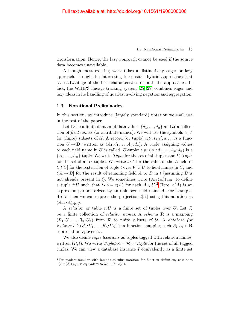1.3 Notational Preliminaries 15

transformation. Hence, the lazy approach cannot be used if the source data becomes unavailable.

Although most existing work takes a distinctively eager or lazy approach, it might be interesting to consider hybrid approaches that take advantage of the best characteristics of both the approaches. In fact, the WHIPS lineage-tracking system [\[25,](#page-28-4) [27\]](#page-28-1) combines eager and lazy ideas in its handling of queries involving negation and aggregation.

#### <span id="page-23-0"></span>1.3 Notational Preliminaries

In this section, we introduce (largely standard) notation we shall use in the rest of the paper.

Let **D** be a finite domain of data values  $\{d_1, \ldots, d_n\}$  and U a collection of field names (or attribute names). We will use the symbols  $U, V$ for (finite) subsets of U. A record (or tuple)  $t, t_1, t_2, t', u, \ldots$  is a function  $U \to \mathbf{D}$ , written as  $(A_1: d_1, \ldots, A_n: d_n)$ . A tuple assigning values to each field name in U is called U-tuple; e.g.  $(A_1: d_1, \ldots, A_n: d_n)$  is a  ${A_1, \ldots, A_n}$ -tuple. We write *Tuple* for the set of all tuples and *U*-Tuple for the set of all U-tuples. We write  $t \cdot A$  for the value of the A-field of t,  $t[U]$  for the restriction of tuple t over  $V \supseteq U$  to field names in U, and  $t[A \mapsto B]$  for the result of renaming field A to B in t (assuming B is not already present in t). We sometimes write  $(A: e(A))_{A \in U}$  to define a tuple t:U such that  $t \cdot A = e(A)$  for each  $A \in U$ <sup>[2](#page-23-1)</sup>. Here,  $e(A)$  is an expression parameterized by an unknown field name A. For example, if  $t:V$  then we can express the projection  $t[U]$  using this notation as  $(A:t \cdot A)_{A \in U}$ .

A relation or table r:U is a finite set of tuples over U. Let  $\mathcal R$ be a finite collection of *relation names*. A *schema*  $\bf{R}$  is a mapping  $(R_1:U_1,\ldots,R_n:U_n)$  from R to finite subsets of U. A database (or *instance*)  $I: (R_1:U_1, \ldots, R_n:U_n)$  is a function mapping each  $R_i:U_i \in \mathbf{R}$ to a relation  $r_i$  over  $U_i$ .

We also define *tuple locations* as tuples tagged with relation names, written  $(R, t)$ . We write  $TupleLoc = \mathcal{R} \times Tuple$  for the set of all tagged tuples. We can view a database instance  $I$  equivalently as a finite set

<span id="page-23-1"></span><sup>2</sup>For readers familiar with lambda-calculus notation for function definition, note that  $(A: e(A))_{A\in U}$  is equivalent to  $\lambda A \in U \cdot e(A)$ .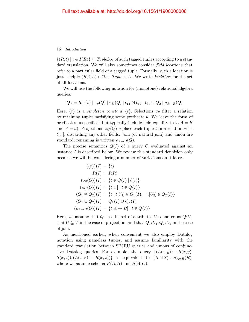$\{(R,t) | t \in I(R)\}\subseteq \mathit{TupleLoc}$  of such tagged tuples according to a standard translation. We will also sometimes consider *field locations* that refer to a particular field of a tagged tuple. Formally, such a location is just a triple  $(R, t, A) \in \mathcal{R} \times \text{Tuple} \times U$ . We write FieldLoc for the set of all locations.

We will use the following notation for (monotone) relational algebra queries:

 $Q ::= R | \{t\} | \sigma_{\theta}(Q) | \pi_{U}(Q) | Q_1 \bowtie Q_2 | Q_1 \cup Q_2 | \rho_{A \mapsto B}(Q)$ 

Here,  $\{t\}$  is a *singleton constant*  $\{t\}$ . Selections  $\sigma_{\theta}$  filter a relation by retaining tuples satisfying some predicate  $\theta$ . We leave the form of predicates unspecified (but typically include field equality tests  $A = B$ and  $A = d$ ). Projections  $\pi_U(Q)$  replace each tuple t in a relation with  $t[U]$ , discarding any other fields. Join (or natural join) and union are standard; renaming is written  $\rho_{A\mapsto B}(Q)$ .

The precise semantics  $Q(I)$  of a query Q evaluated against an instance  $I$  is described below. We review this standard definition only because we will be considering a number of variations on it later.

$$
(\{t\})(I) = \{t\}
$$
  
\n
$$
R(I) = I(R)
$$
  
\n
$$
(\sigma_{\theta}(Q))(I) = \{t \in Q(I) | \theta(t)\}
$$
  
\n
$$
(\pi_U(Q))(I) = \{t[U] | t \in Q(I)\}
$$
  
\n
$$
(Q_1 \bowtie Q_2)(I) = \{t | t[U_1] \in Q_1(I), t[U_2] \in Q_2(I)\}
$$
  
\n
$$
(Q_1 \cup Q_2)(I) = Q_1(I) \cup Q_2(I)
$$
  
\n
$$
(\rho_{A \mapsto B}(Q))(I) = \{t[A \mapsto B] | t \in Q(I)\}
$$

Here, we assume that  $Q$  has the set of attributes  $V$ , denoted as  $Q:V$ , that  $U \subseteq V$  in the case of projection, and that  $Q_1: U_1, Q_2: U_2$  in the case of join.

As mentioned earlier, when convenient we also employ Datalog notation using nameless tuples, and assume familiarity with the standard translation between SPJRU queries and unions of conjunctive Datalog queries. For example, the query  $\{(A(x,y):R(x,y),\)$  $S(x,z), (A(x,x) := R(x,x))\}$  is equivalent to  $(R \bowtie S) \cup \sigma_{A=B}(R)$ , where we assume schema  $R(A, B)$  and  $S(A, C)$ .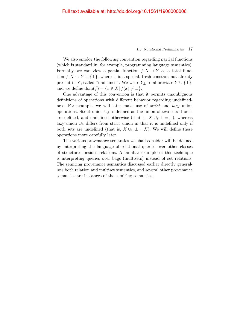#### 1.3 Notational Preliminaries 17

We also employ the following convention regarding partial functions (which is standard in, for example, programming language semantics). Formally, we can view a partial function  $f: X \to Y$  as a total function  $f: X \to Y \cup \{\perp\}$ , where  $\perp$  is a special, fresh constant not already present in Y, called "undefined". We write  $Y_\perp$  to abbreviate  $Y \cup \{\perp\},$ and we define dom $(f) = \{x \in X \mid f(x) \neq \bot\}.$ 

One advantage of this convention is that it permits unambiguous definitions of operations with different behavior regarding undefinedness. For example, we will later make use of strict and lazy union operations. Strict union  $\cup_S$  is defined as the union of two sets if both are defined, and undefined otherwise (that is,  $X \cup_S \bot = \bot$ ), whereas lazy union  $\cup_L$  differs from strict union in that it is undefined only if both sets are undefined (that is,  $X \cup_L \bot = X$ ). We will define these operations more carefully later.

The various provenance semantics we shall consider will be defined by interpreting the language of relational queries over other classes of structures besides relations. A familiar example of this technique is interpreting queries over bags (multisets) instead of set relations. The semiring provenance semantics discussed earlier directly generalizes both relation and multiset semantics, and several other provenance semantics are instances of the semiring semantics.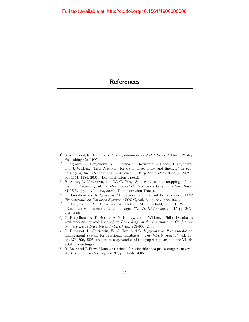- <span id="page-26-0"></span>[1] S. Abiteboul, R. Hull, and V. Vianu, Foundations of Databases. Addison Wesley Publishing Co, 1995.
- <span id="page-26-5"></span>[2] P. Agrawal, O. Benjelloun, A. D. Sarma, C. Hayworth, S. Nabar, T. Sugihara, and J. Widom, "Trio: A system for data, uncertainty, and lineage," in Proceedings of the International Conference on Very Large Data Bases (VLDB), pp. 1151–1154, 2006. (Demonstration Track).
- <span id="page-26-4"></span>[3] B. Alexe, L. Chiticariu, and W.-C. Tan, "Spider: A schema mapping debugger," in Proceedings of the International Conference on Very Large Data Bases (VLDB), pp. 1179–1182, 2006. (Demonstration Track).
- [4] F. Bancilhon and N. Spyratos, "Update semantics of relational views," ACM Transactions on Database Systems (TODS), vol. 6, pp. 557–575, 1981.
- <span id="page-26-6"></span>[5] O. Benjelloun, A. D. Sarma, A. Halevy, M. Theobald, and J. Widom, "Databases with uncertainty and lineage," The VLDB Journal, vol. 17, pp. 243– 264, 2008.
- <span id="page-26-3"></span>[6] O. Benjelloun, A. D. Sarma, A. Y. Halevy, and J. Widom, "Uldbs: Databases with uncertainty and lineage," in Proceedings of the International Conference on Very Large Data Bases (VLDB), pp. 953–964, 2006.
- <span id="page-26-2"></span>[7] D. Bhagwat, L. Chiticariu, W.-C. Tan, and G. Vijayvargiya, "An annotation management system for relational databases," The VLDB Journal, vol. 14, pp. 373–396, 2005. (A preliminary version of this paper appeared in the VLDB 2004 proceedings).
- <span id="page-26-1"></span>[8] R. Bose and J. Frew, "Lineage retrieval for scientific data processing: A survey," ACM Computing Survey, vol. 37, pp. 1–28, 2005.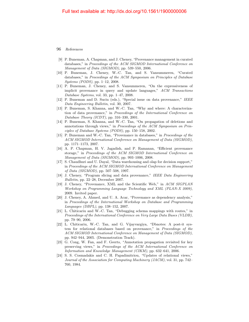- <span id="page-27-8"></span>[9] P. Buneman, A. Chapman, and J. Cheney, "Provenance management in curated databases," in Proceedings of the ACM SIGMOD International Conference on Management of Data (SIGMOD), pp. 539–550, 2006.
- <span id="page-27-1"></span>[10] P. Buneman, J. Cheney, W.-C. Tan, and S. Vansummeren, "Curated databases," in Proceedings of the ACM Symposium on Principles of Database Systems (PODS), pp. 1–12, 2008.
- <span id="page-27-5"></span>[11] P. Buneman, J. Cheney, and S. Vansummeren, "On the expressiveness of implicit provenance in query and update languages," ACM Transactions Database Systems, vol. 33, pp. 1–47, 2008.
- [12] P. Buneman and D. Suciu (eds.), "Special issue on data provenance," IEEE Data Engineering Bulletin, vol. 30, 2007.
- <span id="page-27-3"></span>[13] P. Buneman, S. Khanna, and W.-C. Tan, "Why and where: A characterization of data provenance," in Proceedings of the International Conference on Database Theory (ICDT), pp. 316–330, 2001.
- <span id="page-27-4"></span>[14] P. Buneman, S. Khanna, and W.-C. Tan, "On propagation of deletions and annotations through views," in Proceedings of the ACM Symposium on Principles of Database Systems (PODS), pp. 150–158, 2002.
- <span id="page-27-2"></span>[15] P. Buneman and W.-C. Tan, "Provenance in databases," in Proceedings of the ACM SIGMOD International Conference on Management of Data (SIGMOD), pp. 1171–1173, 2007.
- <span id="page-27-9"></span>[16] A. P. Chapman, H. V. Jagadish, and P. Ramanan, "Efficient provenance storage," in Proceedings of the ACM SIGMOD International Conference on Management of Data (SIGMOD), pp. 993–1006, 2008.
- <span id="page-27-0"></span>[17] S. Chaudhuri and U. Dayal, "Data warehousing and olap for decision support," in Proceedings of the ACM SIGMOD International Conference on Management of Data (SIGMOD), pp. 507–508, 1997.
- [18] J. Cheney, "Program slicing and data provenance," IEEE Data Engineering Bulletin, pp. 22–28, December 2007.
- [19] J. Cheney, "Provenance, XML and the Scientific Web," in ACM SIGPLAN Workshop on Programming Language Technology and XML (PLAN-X 2009), 2009. Invited paper.
- [20] J. Cheney, A. Ahmed, and U. A. Acar, "Provenance as dependency analysis," in Proceedings of the International Workshop on Database and Programming Languages (DBPL), pp. 138–152, 2007.
- <span id="page-27-6"></span>[21] L. Chiticariu and W.-C. Tan, "Debugging schema mappings with routes," in Proceedings of the International Conference on Very Large Data Bases (VLDB), pp. 79–90, 2006.
- <span id="page-27-7"></span>[22] L. Chiticariu, W.-C. Tan, and G. Vijayvargiya, "Dbnotes: A post-it system for relational databases based on provenance," in Proceedings of the ACM SIGMOD International Conference on Management of Data (SIGMOD), pp. 942–944, 2005. (Demonstration Track).
- [23] G. Cong, W. Fan, and F. Geerts, "Annotation propagation revisited for key preserving views," in Proceedings of the ACM International Conference on Information and Knowledge Management (CIKM), pp. 632–641, 2006.
- [24] S. S. Cosmadakis and C. H. Papadimitriou, "Updates of relational views," Journal of the Association for Computing Machinery (JACM), vol. 31, pp. 742– 760, 1984.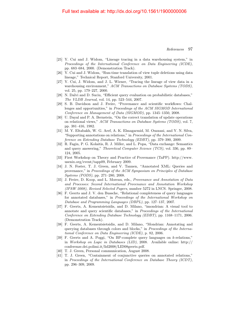#### Full text available at: http://dx.doi.org/10.1561/1900000006

- <span id="page-28-4"></span>[25] Y. Cui and J. Widom, "Lineage tracing in a data warehousing system," in Proceedings of the International Conference on Data Engineering (ICDE), pp. 683–684, 2000. (Demonstration Track).
- [26] Y. Cui and J. Widom, "Run-time translation of view tuple deletions using data lineage," Technical Report, Stanford University, 2001.
- <span id="page-28-1"></span>[27] Y. Cui, J. Widom, and J. L. Wiener, "Tracing the lineage of view data in a warehousing environment," ACM Transactions on Database Systems (TODS), vol. 25, pp. 179–227, 2000.
- [28] N. Dalvi and D. Suciu, "Efficient query evaluation on probabilistic databases," The VLDB Journal, vol. 14, pp. 523–544, 2007.
- <span id="page-28-0"></span>[29] S. B. Davidson and J. Freire, "Provenance and scientific workflows: Challenges and opportunities," in Proceedings of the ACM SIGMOD International Conference on Management of Data (SIGMOD), pp. 1345–1350, 2008.
- [30] U. Dayal and P. A. Bernstein, "On the correct translation of update operations on relational views," ACM Transactions on Database Systems (TODS), vol. 7, pp. 381–416, 1982.
- <span id="page-28-5"></span>[31] M. Y. Eltabakh, W. G. Aref, A. K. Elmagarmid, M. Ouzzani, and Y. N. Silva, "Supporting annotations on relations," in Proceedings of the International Conference on Extending Database Technology (EDBT), pp. 379–390, 2009.
- [32] R. Fagin, P. G. Kolaitis, R. J. Miller, and L. Popa, "Data exchange: Semantics and query answering," Theoretical Computer Science (TCS), vol. 336, pp. 89– 124, 2005.
- <span id="page-28-2"></span>[33] First Workshop on Theory and Practice of Provenance (TaPP). http://www. usenix.org/event/tapp09, February 2009.
- [34] J. N. Foster, T. J. Green, and V. Tannen, "Annotated XML: Queries and provenance," in Proceedings of the ACM Symposium on Principles of Database Systems (PODS), pp. 271–280, 2008.
- <span id="page-28-3"></span>[35] J. Freire, D. Koop, and L. Moreau, eds., Provenance and Annotation of Data and Processes: Second International Provenance and Annotation Workshop (IPAW 2008), Revised Selected Papers, number 5272 in LNCS. Springer, 2008.
- [36] F. Geerts and J. V. den Bussche, "Relational completeness of query languages for annotated databases," in Proceedings of the International Workshop on Database and Programming Languages (DBPL), pp. 127–137, 2007.
- [37] F. Geerts, A. Kementsietsidis, and D. Milano, "imondrian: A visual tool to annotate and query scientific databases," in Proceedings of the International Conference on Extending Database Technology (EDBT), pp. 1168–1171, 2006. (Demonstration Track).
- <span id="page-28-6"></span>[38] F. Geerts, A. Kementsietsidis, and D. Milano, "Mondrian: Annotating and querying databases through colors and blocks," in Proceedings of the International Conference on Data Engineering (ICDE), p. 82, 2006.
- [39] F. Geerts and A. Poggi, "On BP-complete query languages on k-relations," in Workshop on Logic in Databases (LID), 2008. Available online: http:// conferenze.dei.polimi.it/lid2008/LID08geerts.pdf.
- [40] T. J. Green, Personal communication, August 2008.
- [41] T. J. Green, "Containment of conjunctive queries on annotated relations," in Proceedings of the International Conference on Database Theory (ICDT), pp. 296–309, 2009.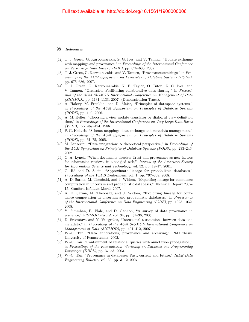- <span id="page-29-4"></span>[42] T. J. Green, G. Karvounarakis, Z. G. Ives, and V. Tannen, "Update exchange with mappings and provenance," in Proceedings of the International Conference on Very Large Data Bases (VLDB), pp. 675–686, 2007.
- <span id="page-29-3"></span>[43] T. J. Green, G. Karvounarakis, and V. Tannen, "Provenance semirings," in Proceedings of the ACM Symposium on Principles of Database Systems (PODS), pp. 675–686, 2007.
- <span id="page-29-5"></span>[44] T. J. Green, G. Karvounarakis, N. E. Taylor, O. Biton, Z. G. Ives, and V. Tannen, "Orchestra: Facilitating collaborative data sharing," in Proceedings of the ACM SIGMOD International Conference on Management of Data (SIGMOD), pp. 1131–1133, 2007. (Demonstration Track).
- [45] A. Halevy, M. Franklin, and D. Maier, "Principles of dataspace systems," in Proceedings of the ACM Symposium on Principles of Database Systems (PODS), pp. 1–9, 2006.
- [46] A. M. Keller, "Choosing a view update translator by dialog at view definition time," in Proceedings of the International Conference on Very Large Data Bases  $(VLDB)$ , pp. 467–474, 1986.
- [47] P. G. Kolaitis, "Schema mappings, data exchange and metadata management," in Proceedings of the ACM Symposium on Principles of Database Systems (PODS), pp. 61–75, 2005.
- [48] M. Lenzerini, "Data integration: A theoretical perspective," in Proceedings of the ACM Symposium on Principles of Database Systems (PODS), pp. 233–246, 2002.
- <span id="page-29-0"></span>[49] C. A. Lynch, "When documents deceive: Trust and provenance as new factors for information retrieval in a tangled web," Journal of the American Society for Information Science and Technology, vol. 52, pp. 12–17, 2001.
- <span id="page-29-8"></span>[50] C. Ré and D. Suciu, "Approximate lineage for probabilistic databases," Proceedings of the VLDB Endowment, vol. 1, pp. 797–808, 2008.
- [51] A. D. Sarma, M. Theobald, and J. Widom, "Exploiting lineage for confidence computation in uncertain and probabilistic databases," Technical Report 2007- 15, Stanford InfoLab, March 2007.
- <span id="page-29-6"></span>[52] A. D. Sarma, M. Theobald, and J. Widom, "Exploiting lineage for confidence computation in uncertain and probabilistic databases." in *Proceedings* of the International Conference on Data Engineering (ICDE), pp. 1023–1032, 2008.
- <span id="page-29-1"></span>[53] Y. Simmhan, B. Plale, and D. Gannon, "A survey of data provenance in e-science,"  $SIGMOD$  Record, vol. 34, pp. 31–36, 2005.
- <span id="page-29-7"></span>[54] D. Srivastava and Y. Velegrakis, "Intensional associations between data and metadata," in Proceedings of the ACM SIGMOD International Conference on Management of Data (SIGMOD), pp. 401–412, 2007.
- [55] W.-C. Tan, "Data annotations, provenance and archiving," PhD thesis, University of Pennsylvania, 2002.
- [56] W.-C. Tan, "Containment of relational queries with annotation propagation," in Proceedings of the International Workshop on Database and Programming Languages (DBPL), pp. 37–53, 2003.
- <span id="page-29-2"></span>[57] W.-C. Tan, "Provenance in databases: Past, current and future," IEEE Data Engineering Bulletin, vol. 30, pp. 3–12, 2007.